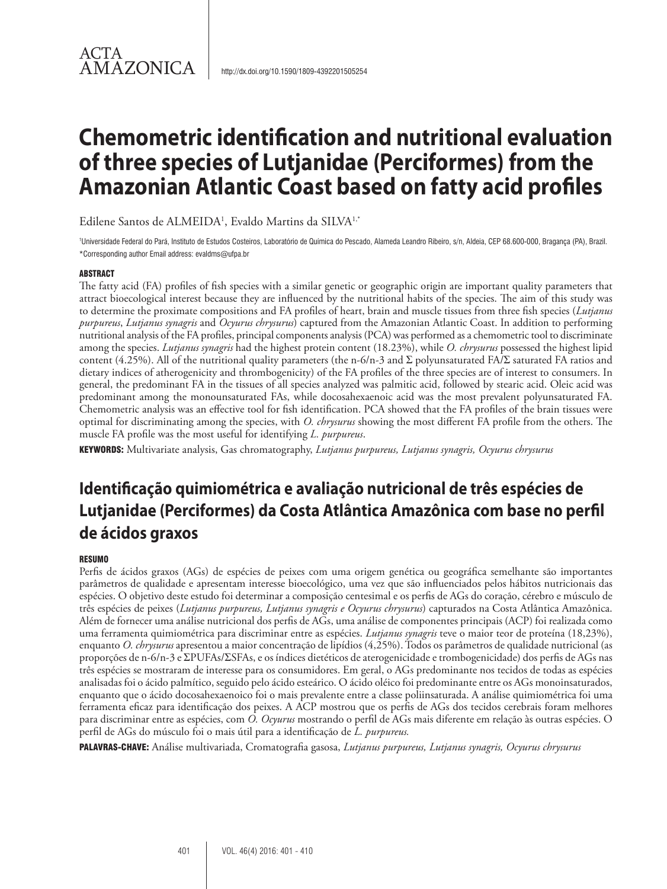Edilene Santos de ALMEIDA1 , Evaldo Martins da SILVA1,\*

1 Universidade Federal do Pará, Instituto de Estudos Costeiros, Laboratório de Química do Pescado, Alameda Leandro Ribeiro, s/n, Aldeia, CEP 68.600-000, Bragança (PA), Brazil. \*Corresponding author Email address: evaldms@ufpa.br

#### ABSTRACT

The fatty acid (FA) profiles of fish species with a similar genetic or geographic origin are important quality parameters that attract bioecological interest because they are influenced by the nutritional habits of the species. The aim of this study was to determine the proximate compositions and FA profiles of heart, brain and muscle tissues from three fish species (*Lutjanus purpureus*, *Lutjanus synagris* and *Ocyurus chrysurus*) captured from the Amazonian Atlantic Coast. In addition to performing nutritional analysis of the FA profiles, principal components analysis (PCA) was performed as a chemometric tool to discriminate among the species. *Lutjanus synagris* had the highest protein content (18.23%), while *O. chrysurus* possessed the highest lipid content (4.25%). All of the nutritional quality parameters (the n-6/n-3 and Σ polyunsaturated FA/Σ saturated FA ratios and dietary indices of atherogenicity and thrombogenicity) of the FA profiles of the three species are of interest to consumers. In general, the predominant FA in the tissues of all species analyzed was palmitic acid, followed by stearic acid. Oleic acid was predominant among the monounsaturated FAs, while docosahexaenoic acid was the most prevalent polyunsaturated FA. Chemometric analysis was an effective tool for fish identification. PCA showed that the FA profiles of the brain tissues were optimal for discriminating among the species, with *O. chrysurus* showing the most different FA profile from the others. The muscle FA profile was the most useful for identifying *L. purpureus*.

KEYWORDS: Multivariate analysis, Gas chromatography, *Lutjanus purpureus, Lutjanus synagris, Ocyurus chrysurus*

# **Identificação quimiométrica e avaliação nutricional de três espécies de Lutjanidae (Perciformes) da Costa Atlântica Amazônica com base no perfil de ácidos graxos**

#### RESUMO

Perfis de ácidos graxos (AGs) de espécies de peixes com uma origem genética ou geográfica semelhante são importantes parâmetros de qualidade e apresentam interesse bioecológico, uma vez que são influenciados pelos hábitos nutricionais das espécies. O objetivo deste estudo foi determinar a composição centesimal e os perfis de AGs do coração, cérebro e músculo de três espécies de peixes (*Lutjanus purpureus, Lutjanus synagris e Ocyurus chrysurus*) capturados na Costa Atlântica Amazônica. Além de fornecer uma análise nutricional dos perfis de AGs, uma análise de componentes principais (ACP) foi realizada como uma ferramenta quimiométrica para discriminar entre as espécies. *Lutjanus synagris* teve o maior teor de proteína (18,23%), enquanto *O. chrysurus* apresentou a maior concentração de lipídios (4,25%). Todos os parâmetros de qualidade nutricional (as proporções de n-6/n-3 e ΣPUFAs/ΣSFAs, e os índices dietéticos de aterogenicidade e trombogenicidade) dos perfis de AGs nas três espécies se mostraram de interesse para os consumidores. Em geral, o AGs predominante nos tecidos de todas as espécies analisadas foi o ácido palmítico, seguido pelo ácido esteárico. O ácido oléico foi predominante entre os AGs monoinsaturados, enquanto que o ácido docosahexaenoico foi o mais prevalente entre a classe poliinsaturada. A análise quimiométrica foi uma ferramenta eficaz para identificação dos peixes. A ACP mostrou que os perfis de AGs dos tecidos cerebrais foram melhores para discriminar entre as espécies, com *O. Ocyurus* mostrando o perfil de AGs mais diferente em relação às outras espécies. O perfil de AGs do músculo foi o mais útil para a identificação de *L. purpureus.*

PALAVRAS-CHAVE: Análise multivariada, Cromatografia gasosa, *Lutjanus purpureus, Lutjanus synagris, Ocyurus chrysurus*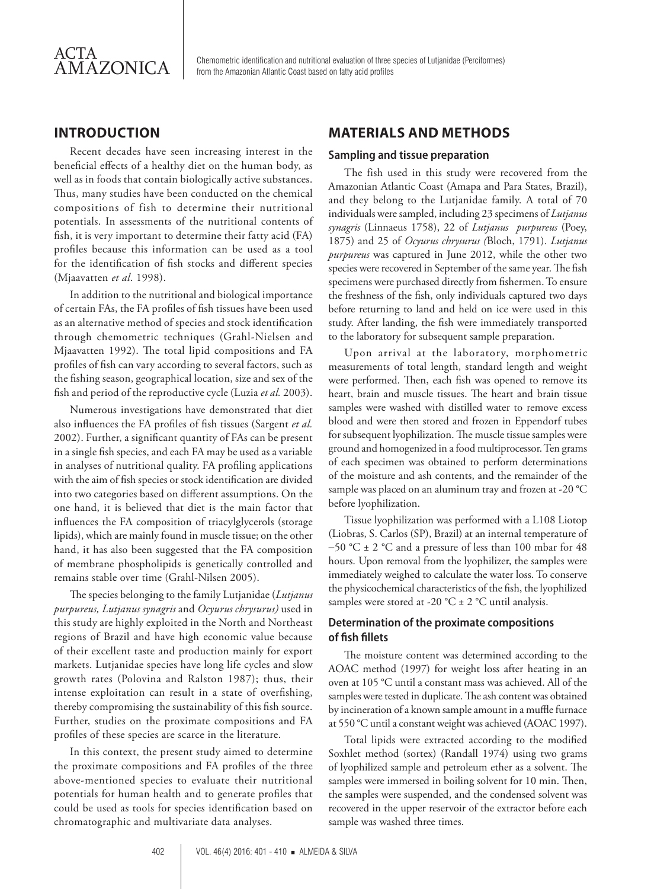# **INTRODUCTION**

Recent decades have seen increasing interest in the beneficial effects of a healthy diet on the human body, as well as in foods that contain biologically active substances. Thus, many studies have been conducted on the chemical compositions of fish to determine their nutritional potentials. In assessments of the nutritional contents of fish, it is very important to determine their fatty acid (FA) profiles because this information can be used as a tool for the identification of fish stocks and different species (Mjaavatten *et al*. 1998).

In addition to the nutritional and biological importance of certain FAs, the FA profiles of fish tissues have been used as an alternative method of species and stock identification through chemometric techniques (Grahl-Nielsen and Mjaavatten 1992). The total lipid compositions and FA profiles of fish can vary according to several factors, such as the fishing season, geographical location, size and sex of the fish and period of the reproductive cycle (Luzia *et al.* 2003).

Numerous investigations have demonstrated that diet also influences the FA profiles of fish tissues (Sargent *et al.* 2002). Further, a significant quantity of FAs can be present in a single fish species, and each FA may be used as a variable in analyses of nutritional quality. FA profiling applications with the aim of fish species or stock identification are divided into two categories based on different assumptions. On the one hand, it is believed that diet is the main factor that influences the FA composition of triacylglycerols (storage lipids), which are mainly found in muscle tissue; on the other hand, it has also been suggested that the FA composition of membrane phospholipids is genetically controlled and remains stable over time (Grahl-Nilsen 2005).

The species belonging to the family Lutjanidae (*Lutjanus purpureus, Lutjanus synagris* and *Ocyurus chrysurus)* used in this study are highly exploited in the North and Northeast regions of Brazil and have high economic value because of their excellent taste and production mainly for export markets. Lutjanidae species have long life cycles and slow growth rates (Polovina and Ralston 1987); thus, their intense exploitation can result in a state of overfishing, thereby compromising the sustainability of this fish source. Further, studies on the proximate compositions and FA profiles of these species are scarce in the literature.

In this context, the present study aimed to determine the proximate compositions and FA profiles of the three above-mentioned species to evaluate their nutritional potentials for human health and to generate profiles that could be used as tools for species identification based on chromatographic and multivariate data analyses.

# **MATERIALS AND METHODS**

#### **Sampling and tissue preparation**

The fish used in this study were recovered from the Amazonian Atlantic Coast (Amapa and Para States, Brazil), and they belong to the Lutjanidae family. A total of 70 individuals were sampled, including 23 specimens of *Lutjanus synagris* (Linnaeus 1758), 22 of *Lutjanus purpureus* (Poey, 1875) and 25 of *Ocyurus chrysurus (*Bloch, 1791). *Lutjanus purpureus* was captured in June 2012, while the other two species were recovered in September of the same year. The fish specimens were purchased directly from fishermen. To ensure the freshness of the fish, only individuals captured two days before returning to land and held on ice were used in this study. After landing, the fish were immediately transported to the laboratory for subsequent sample preparation.

Upon arrival at the laboratory, morphometric measurements of total length, standard length and weight were performed. Then, each fish was opened to remove its heart, brain and muscle tissues. The heart and brain tissue samples were washed with distilled water to remove excess blood and were then stored and frozen in Eppendorf tubes for subsequent lyophilization. The muscle tissue samples were ground and homogenized in a food multiprocessor. Ten grams of each specimen was obtained to perform determinations of the moisture and ash contents, and the remainder of the sample was placed on an aluminum tray and frozen at -20 °C before lyophilization.

Tissue lyophilization was performed with a L108 Liotop (Liobras, S. Carlos (SP), Brazil) at an internal temperature of −50 °C ± 2 °C and a pressure of less than 100 mbar for 48 hours. Upon removal from the lyophilizer, the samples were immediately weighed to calculate the water loss. To conserve the physicochemical characteristics of the fish, the lyophilized samples were stored at -20 °C  $\pm$  2 °C until analysis.

### **Determination of the proximate compositions of fish fillets**

The moisture content was determined according to the AOAC method (1997) for weight loss after heating in an oven at 105 °C until a constant mass was achieved. All of the samples were tested in duplicate. The ash content was obtained by incineration of a known sample amount in a muffle furnace at 550 °C until a constant weight was achieved (AOAC 1997).

Total lipids were extracted according to the modified Soxhlet method (sortex) (Randall 1974) using two grams of lyophilized sample and petroleum ether as a solvent. The samples were immersed in boiling solvent for 10 min. Then, the samples were suspended, and the condensed solvent was recovered in the upper reservoir of the extractor before each sample was washed three times.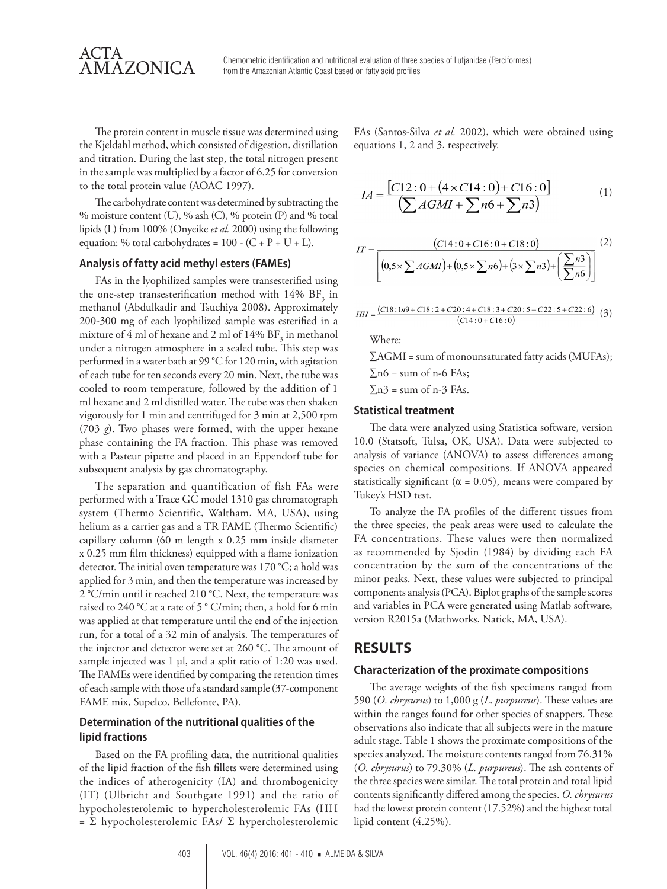# ACTA<br>AMAZONICA

The protein content in muscle tissue was determined using the Kjeldahl method, which consisted of digestion, distillation and titration. During the last step, the total nitrogen present in the sample was multiplied by a factor of 6.25 for conversion to the total protein value (AOAC 1997).

The carbohydrate content was determined by subtracting the  $%$  moisture content (U),  $%$  ash (C),  $%$  protein (P) and  $%$  total lipids (L) from 100% (Onyeike *et al.* 2000) using the following equation: % total carbohydrates =  $100 - (C + P + U + L)$ .

#### **Analysis of fatty acid methyl esters (FAMEs)**

FAs in the lyophilized samples were transesterified using the one-step transesterification method with  $14\%$  BF<sub>3</sub> in methanol (Abdulkadir and Tsuchiya 2008). Approximately 200-300 mg of each lyophilized sample was esterified in a mixture of 4 ml of hexane and 2 ml of 14%  $BF_{3}$  in methanol under a nitrogen atmosphere in a sealed tube. This step was performed in a water bath at 99 °C for 120 min, with agitation of each tube for ten seconds every 20 min. Next, the tube was cooled to room temperature, followed by the addition of 1 ml hexane and 2 ml distilled water. The tube was then shaken vigorously for 1 min and centrifuged for 3 min at 2,500 rpm (703 *g*). Two phases were formed, with the upper hexane phase containing the FA fraction. This phase was removed with a Pasteur pipette and placed in an Eppendorf tube for subsequent analysis by gas chromatography.

The separation and quantification of fish FAs were performed with a Trace GC model 1310 gas chromatograph system (Thermo Scientific, Waltham, MA, USA), using helium as a carrier gas and a TR FAME (Thermo Scientific) capillary column (60 m length x 0.25 mm inside diameter x 0.25 mm film thickness) equipped with a flame ionization detector. The initial oven temperature was 170 °C; a hold was applied for 3 min, and then the temperature was increased by 2 °C/min until it reached 210 °C. Next, the temperature was raised to 240 °C at a rate of 5 ° C/min; then, a hold for 6 min was applied at that temperature until the end of the injection run, for a total of a 32 min of analysis. The temperatures of the injector and detector were set at 260 °C. The amount of sample injected was 1 µl, and a split ratio of 1:20 was used. The FAMEs were identified by comparing the retention times of each sample with those of a standard sample (37-component FAME mix, Supelco, Bellefonte, PA).

### **Determination of the nutritional qualities of the lipid fractions**

Based on the FA profiling data, the nutritional qualities of the lipid fraction of the fish fillets were determined using the indices of atherogenicity (IA) and thrombogenicity (IT) (Ulbricht and Southgate 1991) and the ratio of hypocholesterolemic to hypercholesterolemic FAs (HH = Σ hypocholesterolemic FAs/ Σ hypercholesterolemic

FAs (Santos-Silva *et al.* 2002), which were obtained using equations 1, 2 and 3, respectively.

$$
IA = \frac{[C12:0 + (4 \times C14:0) + C16:0]}{\left(\sum AGM1 + \sum n6 + \sum n3\right)}
$$
(1)

$$
IT = \frac{(C14:0 + C16:0 + C18:0)}{\left[ (0,5 \times \sum AGMI) + (0,5 \times \sum n6) + (3 \times \sum n3) + (\sum n3)\right]}
$$
(2)

$$
HH = \frac{(C18:1n9 + C18:2 + C20:4 + C18:3 + C20:5 + C22:5 + C22:6)}{(C14:0 + C16:0)}
$$
(3)

Where:

 $\sum$ AGMI = sum of monounsaturated fatty acids (MUFAs);  $\Sigma$ n6 = sum of n-6 FAs;  $\Sigma$ n3 = sum of n-3 FAs.

#### **Statistical treatment**

The data were analyzed using Statistica software, version 10.0 (Statsoft, Tulsa, OK, USA). Data were subjected to analysis of variance (ANOVA) to assess differences among species on chemical compositions. If ANOVA appeared statistically significant ( $\alpha = 0.05$ ), means were compared by Tukey's HSD test.

To analyze the FA profiles of the different tissues from the three species, the peak areas were used to calculate the FA concentrations. These values were then normalized as recommended by Sjodin (1984) by dividing each FA concentration by the sum of the concentrations of the minor peaks. Next, these values were subjected to principal components analysis (PCA). Biplot graphs of the sample scores and variables in PCA were generated using Matlab software, version R2015a (Mathworks, Natick, MA, USA).

# **RESULTS**

#### **Characterization of the proximate compositions**

The average weights of the fish specimens ranged from 590 (*O. chrysurus*) to 1,000 g (*L*. *purpureus*). These values are within the ranges found for other species of snappers. These observations also indicate that all subjects were in the mature adult stage. Table 1 shows the proximate compositions of the species analyzed. The moisture contents ranged from 76.31% (*O. chrysurus*) to 79.30% (*L. purpureus*). The ash contents of the three species were similar. The total protein and total lipid contents significantly differed among the species. *O. chrysurus* had the lowest protein content (17.52%) and the highest total lipid content (4.25%).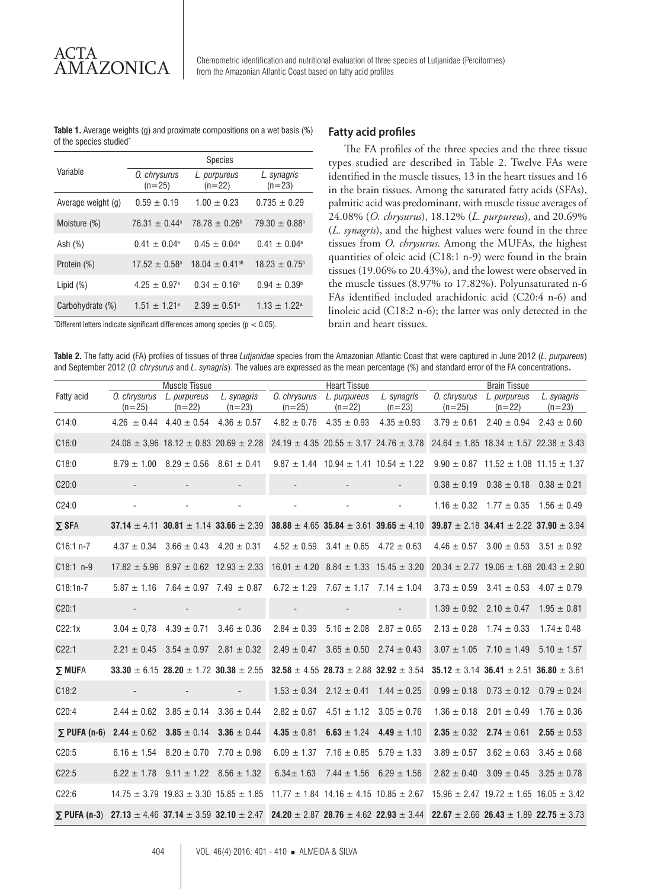**Table 1.** Average weights (g) and proximate compositions on a wet basis (%) of the species studied\*

|                    | <b>Species</b>               |                              |                               |  |  |
|--------------------|------------------------------|------------------------------|-------------------------------|--|--|
| Variable           | 0. chrysurus<br>$(n=25)$     | L. purpureus<br>$(n=22)$     | L. synagris<br>$(n=23)$       |  |  |
| Average weight (g) | $0.59 \pm 0.19$              | $1.00 + 0.23$                | $0.735 \pm 0.29$              |  |  |
| Moisture (%)       | $76.31 \pm 0.44^{\circ}$     | $78.78 \pm 0.26^{\circ}$     | $79.30 \pm 0.88^{\circ}$      |  |  |
| Ash $(%)$          | $0.41 \pm 0.04^{\circ}$      | $0.45 + 0.04$ <sup>a</sup>   | $0.41 + 0.04^{\circ}$         |  |  |
| Protein (%)        | $17.52 + 0.58$ <sup>a</sup>  | $18.04 + 0.41$ <sup>ab</sup> | $18.23 + 0.75^{\circ}$        |  |  |
| Lipid $(\%)$       | $4.25 \pm 0.97$ <sup>a</sup> | $0.34 + 0.16^{\circ}$        | $0.94 \pm 0.39^{\circ}$       |  |  |
| Carbohydrate (%)   | $1.51 \pm 1.21^{\circ}$      | $2.39 + 0.51$ <sup>a</sup>   | $1.13 \pm 1.22$ <sup>a.</sup> |  |  |

\* Different letters indicate significant differences among species (p < 0.05).

#### **Fatty acid profiles**

The FA profiles of the three species and the three tissue types studied are described in Table 2. Twelve FAs were identified in the muscle tissues, 13 in the heart tissues and 16 in the brain tissues. Among the saturated fatty acids (SFAs), palmitic acid was predominant, with muscle tissue averages of 24.08% (*O. chrysurus*), 18.12% (*L. purpureus*), and 20.69% (*L. synagris*), and the highest values were found in the three tissues from *O. chrysurus*. Among the MUFAs, the highest quantities of oleic acid (C18:1 n-9) were found in the brain tissues (19.06% to 20.43%), and the lowest were observed in the muscle tissues (8.97% to 17.82%). Polyunsaturated n-6 FAs identified included arachidonic acid (C20:4 n-6) and linoleic acid (C18:2 n-6); the latter was only detected in the brain and heart tissues.

**Table 2.** The fatty acid (FA) profiles of tissues of three *Lutjanidae* species from the Amazonian Atlantic Coast that were captured in June 2012 (*L. purpureus*) and September 2012 (*O. chrysurus* and *L*. *synagris*). The values are expressed as the mean percentage (%) and standard error of the FA concentrations.

|                   |                                                     | <b>Muscle Tissue</b>                               |                                                    |                          | <b>Heart Tissue</b>                                |                                                                                                                                          |                                                    | <b>Brain Tissue</b>                                |                         |
|-------------------|-----------------------------------------------------|----------------------------------------------------|----------------------------------------------------|--------------------------|----------------------------------------------------|------------------------------------------------------------------------------------------------------------------------------------------|----------------------------------------------------|----------------------------------------------------|-------------------------|
| Fatty acid        | O. chrysurus L. purpureus<br>$(n=25)$               | $(n=22)$                                           | L. synagris<br>$(n=23)$                            | O. chrysurus<br>$(n=25)$ | L. purpureus<br>$(n=22)$                           | L. synagris<br>$(n=23)$                                                                                                                  | 0. chrysurus<br>$(n=25)$                           | L. purpureus<br>$(n=22)$                           | L. synagris<br>$(n=23)$ |
| C14:0             |                                                     | $4.26 \pm 0.44$ $4.40 \pm 0.54$                    | $4.36 \pm 0.57$                                    |                          | $4.82 \pm 0.76$ $4.35 \pm 0.93$                    | $4.35 \pm 0.93$                                                                                                                          | $3.79 \pm 0.61$                                    | $2.40 \pm 0.94$                                    | $2.43 \pm 0.60$         |
| C <sub>16:0</sub> |                                                     |                                                    | $24.08 \pm 3.96$ 18.12 $\pm$ 0.83 20.69 $\pm$ 2.28 |                          |                                                    | $24.19 \pm 4.35$ 20.55 $\pm$ 3.17 24.76 $\pm$ 3.78 24.64 $\pm$ 1.85 18.34 $\pm$ 1.57 22.38 $\pm$ 3.43                                    |                                                    |                                                    |                         |
| C18:0             | $8.79 \pm 1.00$                                     | $8.29 \pm 0.56$ $8.61 \pm 0.41$                    |                                                    |                          |                                                    | $9.87 \pm 1.44$ 10.94 $\pm$ 1.41 10.54 $\pm$ 1.22                                                                                        |                                                    | $9.90 \pm 0.87$ 11.52 $\pm$ 1.08 11.15 $\pm$ 1.37  |                         |
| C20:0             |                                                     |                                                    |                                                    |                          |                                                    |                                                                                                                                          |                                                    | $0.38 \pm 0.19$ $0.38 \pm 0.18$                    | $0.38 \pm 0.21$         |
| C24:0             | $\sim$                                              |                                                    |                                                    |                          |                                                    |                                                                                                                                          |                                                    | $1.16 \pm 0.32$ $1.77 \pm 0.35$                    | $1.56 \pm 0.49$         |
| $5$ SFA           |                                                     |                                                    | $37.14 \pm 4.11$ $30.81 \pm 1.14$ $33.66 \pm 2.39$ |                          |                                                    | $38.88 \pm 4.65$ 35.84 $\pm$ 3.61 39.65 $\pm$ 4.10                                                                                       | 39.87 $\pm$ 2.18 34.41 $\pm$ 2.22 37.90 $\pm$ 3.94 |                                                    |                         |
| $C16:1 n-7$       | $4.37 \pm 0.34$                                     | $3.66 \pm 0.43$                                    | $4.20 \pm 0.31$                                    | $4.52 \pm 0.59$          | $3.41 \pm 0.65$                                    | $4.72 \pm 0.63$                                                                                                                          | $4.46 \pm 0.57$                                    | $3.00 \pm 0.53$                                    | $3.51 \pm 0.92$         |
| $C18:1 n-9$       |                                                     |                                                    | $17.82 \pm 5.96$ $8.97 \pm 0.62$ $12.93 \pm 2.33$  |                          |                                                    | $16.01 \pm 4.20$ $8.84 \pm 1.33$ $15.45 \pm 3.20$                                                                                        | $20.34 \pm 2.77$ 19.06 $\pm$ 1.68 20.43 $\pm$ 2.90 |                                                    |                         |
| $C18:1n-7$        |                                                     | $5.87 \pm 1.16$ $7.64 \pm 0.97$ $7.49 \pm 0.87$    |                                                    |                          | $6.72 \pm 1.29$ $7.67 \pm 1.17$                    | $7.14 \pm 1.04$                                                                                                                          |                                                    | $3.73 \pm 0.59$ $3.41 \pm 0.53$                    | $4.07 \pm 0.79$         |
| C20:1             |                                                     |                                                    |                                                    |                          |                                                    |                                                                                                                                          |                                                    | $1.39 \pm 0.92$ 2.10 $\pm$ 0.47                    | $1.95 \pm 0.81$         |
| C22:1x            | $3.04 \pm 0.78$                                     | $4.39 \pm 0.71$                                    | $3.46 \pm 0.36$                                    | $2.84 \pm 0.39$          | $5.16 \pm 2.08$                                    | $2.87 \pm 0.65$                                                                                                                          | $2.13 \pm 0.28$                                    | $1.74 \pm 0.33$                                    | $1.74 \pm 0.48$         |
| C22:1             |                                                     | $2.21 \pm 0.45$ $3.54 \pm 0.97$ $2.81 \pm 0.32$    |                                                    |                          | $2.49 \pm 0.47$ $3.65 \pm 0.50$ $2.74 \pm 0.43$    |                                                                                                                                          |                                                    | $3.07 \pm 1.05$ $7.10 \pm 1.49$                    | $5.10 \pm 1.57$         |
| <b>7 MUFA</b>     |                                                     |                                                    | 33.30 $\pm$ 6.15 28.20 $\pm$ 1.72 30.38 $\pm$ 2.55 |                          | 32.58 $\pm$ 4.55 28.73 $\pm$ 2.88 32.92 $\pm$ 3.54 |                                                                                                                                          |                                                    | $35.12 \pm 3.14$ 36.41 $\pm$ 2.51 36.80 $\pm$ 3.61 |                         |
| C18:2             |                                                     |                                                    | $\overline{\phantom{a}}$                           |                          | $1.53 \pm 0.34$ $2.12 \pm 0.41$                    | $1.44 \pm 0.25$                                                                                                                          |                                                    | $0.99 \pm 0.18$ $0.73 \pm 0.12$ $0.79 \pm 0.24$    |                         |
| C20:4             | $2.44 \pm 0.62$                                     | $3.85 \pm 0.14$                                    | $3.36 \pm 0.44$                                    | $2.82 \pm 0.67$          | $4.51 \pm 1.12$                                    | $3.05 \pm 0.76$                                                                                                                          | $1.36 \pm 0.18$                                    | $2.01 \pm 0.49$                                    | $1.76 \pm 0.36$         |
|                   | $\Sigma$ PUFA (n-6) 2.44 $\pm$ 0.62 3.85 $\pm$ 0.14 |                                                    | $3.36 \pm 0.44$                                    | $4.35 \pm 0.81$          | $6.63 \pm 1.24$                                    | $4.49 \pm 1.10$                                                                                                                          |                                                    | $2.35 \pm 0.32$ 2.74 $\pm$ 0.61                    | $2.55 \pm 0.53$         |
| C20:5             |                                                     | $6.16 \pm 1.54$ $8.20 \pm 0.70$                    | $7.70 \pm 0.98$                                    |                          | $6.09 \pm 1.37$ 7.16 $\pm$ 0.85                    | $5.79 \pm 1.33$                                                                                                                          | $3.89 \pm 0.57$                                    | $3.62 \pm 0.63$                                    | $3.45 \pm 0.68$         |
| C22:5             |                                                     | $6.22 \pm 1.78$ 9.11 $\pm$ 1.22 8.56 $\pm$ 1.32    |                                                    | $6.34 \pm 1.63$          | $7.44 \pm 1.56$                                    | $6.29 \pm 1.56$                                                                                                                          | $2.82 \pm 0.40$                                    | $3.09 \pm 0.45$                                    | $3.25 \pm 0.78$         |
| C22:6             |                                                     | $14.75 \pm 3.79$ 19.83 $\pm$ 3.30 15.85 $\pm$ 1.85 |                                                    |                          |                                                    | $11.77 \pm 1.84$ 14.16 $\pm$ 4.15 10.85 $\pm$ 2.67                                                                                       |                                                    | $15.96 \pm 2.47$ 19.72 $\pm$ 1.65 16.05 $\pm$ 3.42 |                         |
|                   |                                                     |                                                    |                                                    |                          |                                                    | <b>F PUFA</b> (n-3) 27.13 ± 4.46 37.14 ± 3.59 32.10 ± 2.47 24.20 ± 2.87 28.76 ± 4.62 22.93 ± 3.44 22.67 ± 2.66 26.43 ± 1.89 22.75 ± 3.73 |                                                    |                                                    |                         |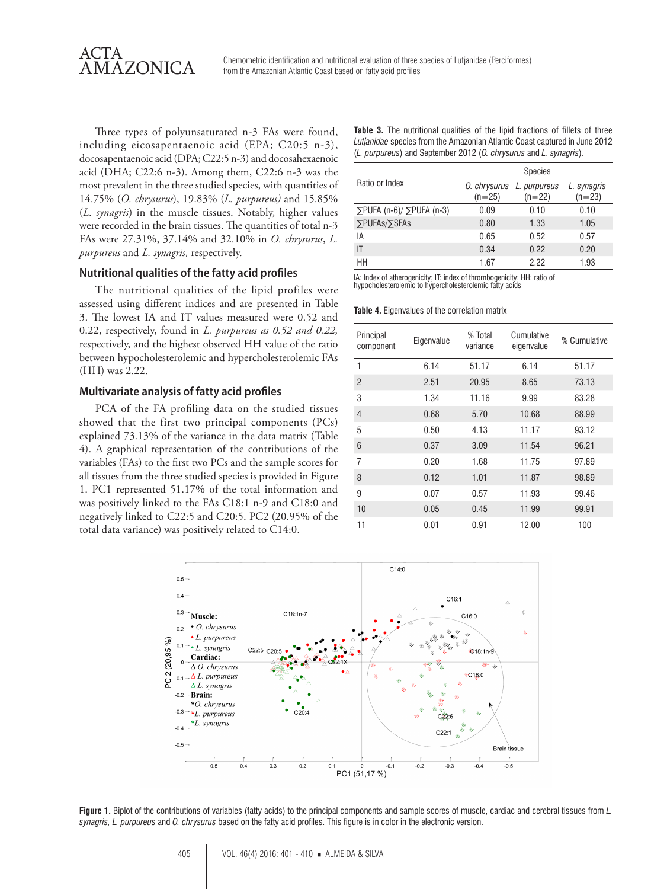

Three types of polyunsaturated n-3 FAs were found, including eicosapentaenoic acid (EPA; C20:5 n-3), docosapentaenoic acid (DPA; C22:5 n-3) and docosahexaenoic acid (DHA; C22:6 n-3). Among them, C22:6 n-3 was the most prevalent in the three studied species, with quantities of 14.75% (*O. chrysurus*), 19.83% (*L. purpureus)* and 15.85% (*L. synagris*) in the muscle tissues. Notably, higher values were recorded in the brain tissues. The quantities of total n-3 FAs were 27.31%, 37.14% and 32.10% in *O. chrysurus*, *L. purpureus* and *L. synagris,* respectively.

#### **Nutritional qualities of the fatty acid profiles**

The nutritional qualities of the lipid profiles were assessed using different indices and are presented in Table 3. The lowest IA and IT values measured were 0.52 and 0.22, respectively, found in *L. purpureus as 0.52 and 0.22,*  respectively, and the highest observed HH value of the ratio between hypocholesterolemic and hypercholesterolemic FAs (HH) was 2.22.

#### **Multivariate analysis of fatty acid profiles**

PCA of the FA profiling data on the studied tissues showed that the first two principal components (PCs) explained 73.13% of the variance in the data matrix (Table 4). A graphical representation of the contributions of the variables (FAs) to the first two PCs and the sample scores for all tissues from the three studied species is provided in Figure 1. PC1 represented 51.17% of the total information and was positively linked to the FAs C18:1 n-9 and C18:0 and negatively linked to C22:5 and C20:5. PC2 (20.95% of the total data variance) was positively related to C14:0.

**Table 3.** The nutritional qualities of the lipid fractions of fillets of three *Lutjanidae* species from the Amazonian Atlantic Coast captured in June 2012 (*L. purpureus*) and September 2012 (*O. chrysurus* and *L*. *synagris*).

|                                      | <b>Species</b> |                                       |                         |  |
|--------------------------------------|----------------|---------------------------------------|-------------------------|--|
| Ratio or Index                       | $(n=25)$       | O. chrysurus L. purpureus<br>$(n=22)$ | L. synagris<br>$(n=23)$ |  |
| $\sum$ PUFA (n-6)/ $\sum$ PUFA (n-3) | 0.09           | 0.10                                  | 0.10                    |  |
| <b>SPUFAS/SSFAS</b>                  | 0.80           | 1.33                                  | 1.05                    |  |
| ΙA                                   | 0.65           | 0.52                                  | 0.57                    |  |
| ΙT                                   | 0.34           | 0.22                                  | 0.20                    |  |
| HН                                   | 1.67           | 2.22                                  | 1.93                    |  |

IA: Index of atherogenicity; IT: index of thrombogenicity; HH: ratio of hypocholesterolemic to hypercholesterolemic fatty acids

**Table 4.** Eigenvalues of the correlation matrix

| Principal<br>component | Eigenvalue | % Total<br>variance | Cumulative<br>eigenvalue | % Cumulative |
|------------------------|------------|---------------------|--------------------------|--------------|
| 1                      | 6.14       | 51.17               | 6.14                     | 51.17        |
| $\overline{2}$         | 2.51       | 20.95               | 8.65                     | 73.13        |
| 3                      | 1.34       | 11.16               | 9.99                     | 83.28        |
| $\overline{4}$         | 0.68       | 5.70                | 10.68                    | 88.99        |
| 5                      | 0.50       | 4.13                | 11.17                    | 93.12        |
| 6                      | 0.37       | 3.09                | 11.54                    | 96.21        |
| 7                      | 0.20       | 1.68                | 11.75                    | 97.89        |
| 8                      | 0.12       | 1.01                | 11.87                    | 98.89        |
| 9                      | 0.07       | 0.57                | 11.93                    | 99.46        |
| 10                     | 0.05       | 0.45                | 11.99                    | 99.91        |
| 11                     | 0.01       | 0.91                | 12.00                    | 100          |



**Figure 1.** Biplot of the contributions of variables (fatty acids) to the principal components and sample scores of muscle, cardiac and cerebral tissues from *L. synagris, L. purpureus* and *O. chrysurus* based on the fatty acid profiles. This figure is in color in the electronic version.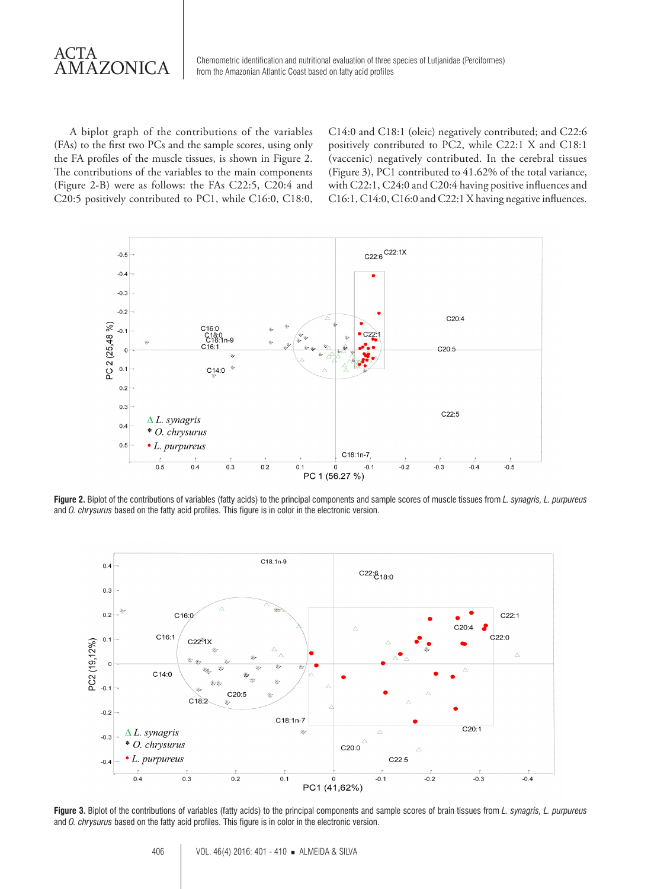

A biplot graph of the contributions of the variables (FAs) to the first two PCs and the sample scores, using only the FA profiles of the muscle tissues, is shown in Figure 2. The contributions of the variables to the main components (Figure 2-B) were as follows: the FAs C22:5, C20:4 and C20:5 positively contributed to PC1, while C16:0, C18:0, C14:0 and C18:1 (oleic) negatively contributed; and C22:6 positively contributed to PC2, while C22:1 X and C18:1 (vaccenic) negatively contributed. In the cerebral tissues (Figure 3), PC1 contributed to 41.62% of the total variance, with C22:1, C24:0 and C20:4 having positive influences and C16:1, C14:0, C16:0 and C22:1 X having negative influences.



**Figure 2.** Biplot of the contributions of variables (fatty acids) to the principal components and sample scores of muscle tissues from *L. synagris, L. purpureus*  and *O. chrysurus* based on the fatty acid profiles. This figure is in color in the electronic version.



**Figure 3.** Biplot of the contributions of variables (fatty acids) to the principal components and sample scores of brain tissues from *L. synagris, L. purpureus*  and *O. chrysurus* based on the fatty acid profiles. This figure is in color in the electronic version.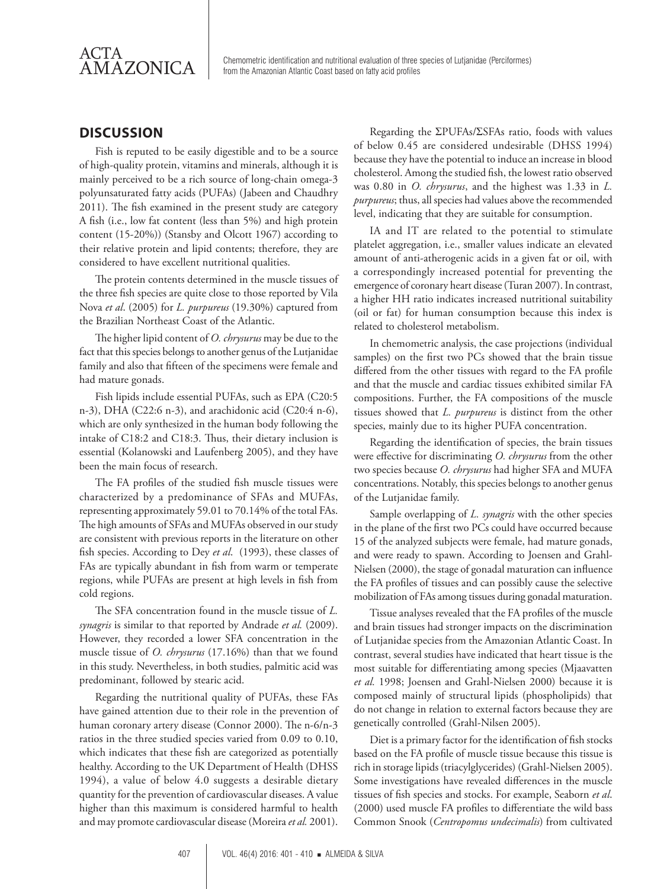# **DISCUSSION**

Fish is reputed to be easily digestible and to be a source of high-quality protein, vitamins and minerals, although it is mainly perceived to be a rich source of long-chain omega-3 polyunsaturated fatty acids (PUFAs) (Jabeen and Chaudhry 2011). The fish examined in the present study are category A fish (i.e., low fat content (less than 5%) and high protein content (15-20%)) (Stansby and Olcott 1967) according to their relative protein and lipid contents; therefore, they are considered to have excellent nutritional qualities.

The protein contents determined in the muscle tissues of the three fish species are quite close to those reported by Vila Nova *et al*. (2005) for *L. purpureus* (19.30%) captured from the Brazilian Northeast Coast of the Atlantic.

The higher lipid content of *O. chrysurus* may be due to the fact that this species belongs to another genus of the Lutjanidae family and also that fifteen of the specimens were female and had mature gonads.

Fish lipids include essential PUFAs, such as EPA (C20:5 n-3), DHA (C22:6 n-3), and arachidonic acid (C20:4 n-6), which are only synthesized in the human body following the intake of C18:2 and C18:3. Thus, their dietary inclusion is essential (Kolanowski and Laufenberg 2005), and they have been the main focus of research.

The FA profiles of the studied fish muscle tissues were characterized by a predominance of SFAs and MUFAs, representing approximately 59.01 to 70.14% of the total FAs. The high amounts of SFAs and MUFAs observed in our study are consistent with previous reports in the literature on other fish species. According to Dey *et al*. (1993), these classes of FAs are typically abundant in fish from warm or temperate regions, while PUFAs are present at high levels in fish from cold regions.

The SFA concentration found in the muscle tissue of *L. synagris* is similar to that reported by Andrade *et al.* (2009). However, they recorded a lower SFA concentration in the muscle tissue of *O. chrysurus* (17.16%) than that we found in this study. Nevertheless, in both studies, palmitic acid was predominant, followed by stearic acid.

Regarding the nutritional quality of PUFAs, these FAs have gained attention due to their role in the prevention of human coronary artery disease (Connor 2000). The n-6/n-3 ratios in the three studied species varied from 0.09 to 0.10, which indicates that these fish are categorized as potentially healthy. According to the UK Department of Health (DHSS 1994), a value of below 4.0 suggests a desirable dietary quantity for the prevention of cardiovascular diseases. A value higher than this maximum is considered harmful to health and may promote cardiovascular disease (Moreira *et al.* 2001).

Regarding the ΣPUFAs/ΣSFAs ratio, foods with values of below 0.45 are considered undesirable (DHSS 1994) because they have the potential to induce an increase in blood cholesterol. Among the studied fish, the lowest ratio observed was 0.80 in *O. chrysurus*, and the highest was 1.33 in *L. purpureus*; thus, all species had values above the recommended level, indicating that they are suitable for consumption.

IA and IT are related to the potential to stimulate platelet aggregation, i.e., smaller values indicate an elevated amount of anti-atherogenic acids in a given fat or oil, with a correspondingly increased potential for preventing the emergence of coronary heart disease (Turan 2007). In contrast, a higher HH ratio indicates increased nutritional suitability (oil or fat) for human consumption because this index is related to cholesterol metabolism.

In chemometric analysis, the case projections (individual samples) on the first two PCs showed that the brain tissue differed from the other tissues with regard to the FA profile and that the muscle and cardiac tissues exhibited similar FA compositions. Further, the FA compositions of the muscle tissues showed that *L. purpureus* is distinct from the other species, mainly due to its higher PUFA concentration.

Regarding the identification of species, the brain tissues were effective for discriminating *O. chrysurus* from the other two species because *O. chrysurus* had higher SFA and MUFA concentrations. Notably, this species belongs to another genus of the Lutjanidae family.

Sample overlapping of *L. synagris* with the other species in the plane of the first two PCs could have occurred because 15 of the analyzed subjects were female, had mature gonads, and were ready to spawn. According to Joensen and Grahl-Nielsen (2000), the stage of gonadal maturation can influence the FA profiles of tissues and can possibly cause the selective mobilization of FAs among tissues during gonadal maturation.

Tissue analyses revealed that the FA profiles of the muscle and brain tissues had stronger impacts on the discrimination of Lutjanidae species from the Amazonian Atlantic Coast. In contrast, several studies have indicated that heart tissue is the most suitable for differentiating among species (Mjaavatten *et al.* 1998; Joensen and Grahl-Nielsen 2000) because it is composed mainly of structural lipids (phospholipids) that do not change in relation to external factors because they are genetically controlled (Grahl-Nilsen 2005).

Diet is a primary factor for the identification of fish stocks based on the FA profile of muscle tissue because this tissue is rich in storage lipids (triacylglycerides) (Grahl-Nielsen 2005). Some investigations have revealed differences in the muscle tissues of fish species and stocks. For example, Seaborn *et al*. (2000) used muscle FA profiles to differentiate the wild bass Common Snook (*Centropomus undecimalis*) from cultivated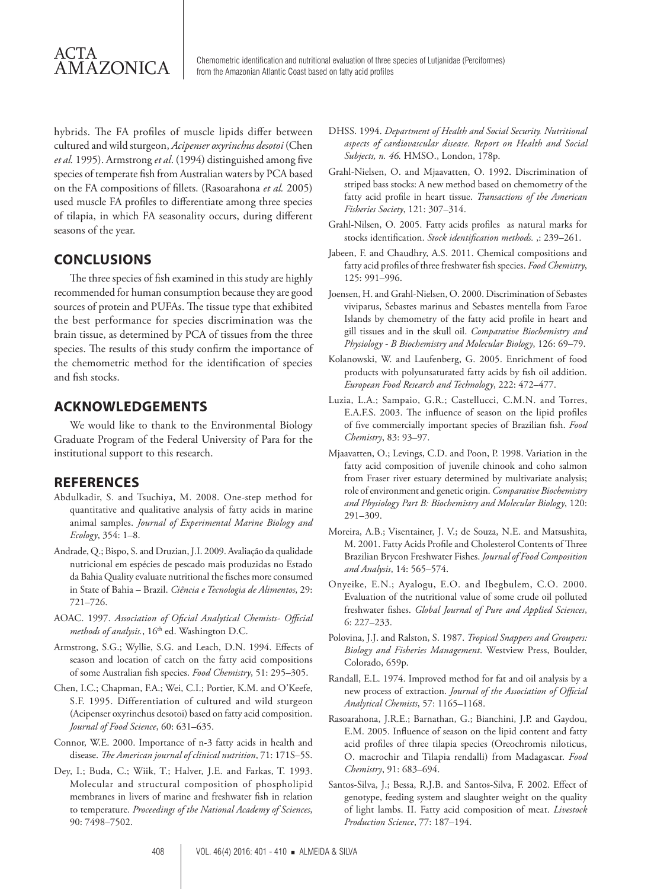hybrids. The FA profiles of muscle lipids differ between cultured and wild sturgeon, *Acipenser oxyrinchus desotoi* (Chen *et al.* 1995). Armstrong *et al*. (1994) distinguished among five species of temperate fish from Australian waters by PCA based on the FA compositions of fillets. (Rasoarahona *et al.* 2005) used muscle FA profiles to differentiate among three species of tilapia, in which FA seasonality occurs, during different seasons of the year.

# **CONCLUSIONS**

The three species of fish examined in this study are highly recommended for human consumption because they are good sources of protein and PUFAs. The tissue type that exhibited the best performance for species discrimination was the brain tissue, as determined by PCA of tissues from the three species. The results of this study confirm the importance of the chemometric method for the identification of species and fish stocks.

# **ACKNOWLEDGEMENTS**

We would like to thank to the Environmental Biology Graduate Program of the Federal University of Para for the institutional support to this research.

# **REFERENCES**

- Abdulkadir, S. and Tsuchiya, M. 2008. One-step method for quantitative and qualitative analysis of fatty acids in marine animal samples. *Journal of Experimental Marine Biology and Ecology*, 354: 1–8.
- Andrade, Q.; Bispo, S. and Druzian, J.I. 2009. Avaliação da qualidade nutricional em espécies de pescado mais produzidas no Estado da Bahia Quality evaluate nutritional the fisches more consumed in State of Bahia – Brazil. *Ciência e Tecnologia de Alimentos*, 29: 721–726.
- AOAC. 1997. *Association of Oficial Analytical Chemists- Official*  methods of analysis., 16<sup>th</sup> ed. Washington D.C.
- Armstrong, S.G.; Wyllie, S.G. and Leach, D.N. 1994. Effects of season and location of catch on the fatty acid compositions of some Australian fish species. *Food Chemistry*, 51: 295–305.
- Chen, I.C.; Chapman, F.A.; Wei, C.I.; Portier, K.M. and O'Keefe, S.F. 1995. Differentiation of cultured and wild sturgeon (Acipenser oxyrinchus desotoi) based on fatty acid composition. *Journal of Food Science*, 60: 631–635.
- Connor, W.E. 2000. Importance of n-3 fatty acids in health and disease. *The American journal of clinical nutrition*, 71: 171S–5S.
- Dey, I.; Buda, C.; Wiik, T.; Halver, J.E. and Farkas, T. 1993. Molecular and structural composition of phospholipid membranes in livers of marine and freshwater fish in relation to temperature. *Proceedings of the National Academy of Sciences*, 90: 7498–7502.
- DHSS. 1994. *Department of Health and Social Security. Nutritional aspects of cardiovascular disease. Report on Health and Social Subjects, n. 46.* HMSO., London, 178p.
- Grahl-Nielsen, O. and Mjaavatten, O. 1992. Discrimination of striped bass stocks: A new method based on chemometry of the fatty acid profile in heart tissue. *Transactions of the American Fisheries Society*, 121: 307–314.
- Grahl-Nilsen, O. 2005. Fatty acids profiles as natural marks for stocks identification. *Stock identification methods.* ,: 239–261.
- Jabeen, F. and Chaudhry, A.S. 2011. Chemical compositions and fatty acid profiles of three freshwater fish species. *Food Chemistry*, 125: 991–996.
- Joensen, H. and Grahl-Nielsen, O. 2000. Discrimination of Sebastes viviparus, Sebastes marinus and Sebastes mentella from Faroe Islands by chemometry of the fatty acid profile in heart and gill tissues and in the skull oil. *Comparative Biochemistry and Physiology - B Biochemistry and Molecular Biology*, 126: 69–79.
- Kolanowski, W. and Laufenberg, G. 2005. Enrichment of food products with polyunsaturated fatty acids by fish oil addition. *European Food Research and Technology*, 222: 472–477.
- Luzia, L.A.; Sampaio, G.R.; Castellucci, C.M.N. and Torres, E.A.F.S. 2003. The influence of season on the lipid profiles of five commercially important species of Brazilian fish. *Food Chemistry*, 83: 93–97.
- Mjaavatten, O.; Levings, C.D. and Poon, P. 1998. Variation in the fatty acid composition of juvenile chinook and coho salmon from Fraser river estuary determined by multivariate analysis; role of environment and genetic origin. *Comparative Biochemistry and Physiology Part B: Biochemistry and Molecular Biology*, 120: 291–309.
- Moreira, A.B.; Visentainer, J. V.; de Souza, N.E. and Matsushita, M. 2001. Fatty Acids Profile and Cholesterol Contents of Three Brazilian Brycon Freshwater Fishes. *Journal of Food Composition and Analysis*, 14: 565–574.
- Onyeike, E.N.; Ayalogu, E.O. and Ibegbulem, C.O. 2000. Evaluation of the nutritional value of some crude oil polluted freshwater fishes. *Global Journal of Pure and Applied Sciences*, 6: 227–233.
- Polovina, J.J. and Ralston, S. 1987. *Tropical Snappers and Groupers: Biology and Fisheries Management*. Westview Press, Boulder, Colorado, 659p.
- Randall, E.L. 1974. Improved method for fat and oil analysis by a new process of extraction. *Journal of the Association of Official Analytical Chemists*, 57: 1165–1168.
- Rasoarahona, J.R.E.; Barnathan, G.; Bianchini, J.P. and Gaydou, E.M. 2005. Influence of season on the lipid content and fatty acid profiles of three tilapia species (Oreochromis niloticus, O. macrochir and Tilapia rendalli) from Madagascar. *Food Chemistry*, 91: 683–694.
- Santos-Silva, J.; Bessa, R.J.B. and Santos-Silva, F. 2002. Effect of genotype, feeding system and slaughter weight on the quality of light lambs. II. Fatty acid composition of meat. *Livestock Production Science*, 77: 187–194.